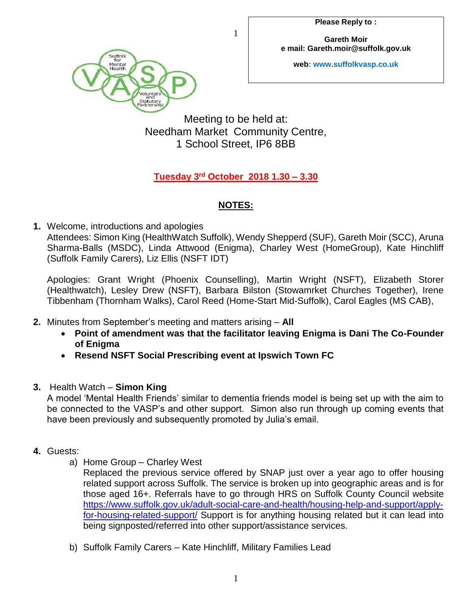**Gareth Moir e mail: Gareth.moir@suffolk.gov.uk**

**web: www.suffolkvasp.co.uk**



Meeting to be held at: Needham Market Community Centre, 1 School Street, IP6 8BB

1

## **Tuesday 3 rd October 2018 1.30 – 3.30**

## **NOTES:**

**1.** Welcome, introductions and apologies

Attendees: Simon King (HealthWatch Suffolk), Wendy Shepperd (SUF), Gareth Moir (SCC), Aruna Sharma-Balls (MSDC), Linda Attwood (Enigma), Charley West (HomeGroup), Kate Hinchliff (Suffolk Family Carers), Liz Ellis (NSFT IDT)

Apologies: Grant Wright (Phoenix Counselling), Martin Wright (NSFT), Elizabeth Storer (Healthwatch), Lesley Drew (NSFT), Barbara Bilston (Stowamrket Churches Together), Irene Tibbenham (Thornham Walks), Carol Reed (Home-Start Mid-Suffolk), Carol Eagles (MS CAB),

- **2.** Minutes from September's meeting and matters arising **All**
	- **Point of amendment was that the facilitator leaving Enigma is Dani The Co-Founder of Enigma**
	- **Resend NSFT Social Prescribing event at Ipswich Town FC**
- **3.** Health Watch **Simon King**

A model 'Mental Health Friends' similar to dementia friends model is being set up with the aim to be connected to the VASP's and other support. Simon also run through up coming events that have been previously and subsequently promoted by Julia's email.

- **4.** Guests:
	- a) Home Group Charley West

Replaced the previous service offered by SNAP just over a year ago to offer housing related support across Suffolk. The service is broken up into geographic areas and is for those aged 16+. Referrals have to go through HRS on Suffolk County Council website [https://www.suffolk.gov.uk/adult-social-care-and-health/housing-help-and-support/apply](https://www.suffolk.gov.uk/adult-social-care-and-health/housing-help-and-support/apply-for-housing-related-support/)[for-housing-related-support/](https://www.suffolk.gov.uk/adult-social-care-and-health/housing-help-and-support/apply-for-housing-related-support/) Support is for anything housing related but it can lead into being signposted/referred into other support/assistance services.

b) Suffolk Family Carers – Kate Hinchliff, Military Families Lead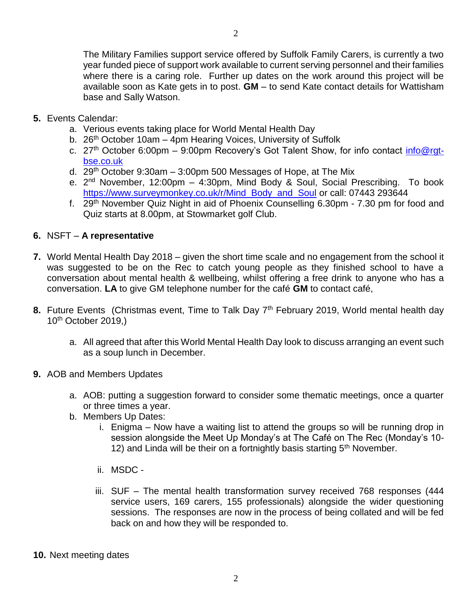The Military Families support service offered by Suffolk Family Carers, is currently a two year funded piece of support work available to current serving personnel and their families where there is a caring role. Further up dates on the work around this project will be available soon as Kate gets in to post. **GM** – to send Kate contact details for Wattisham base and Sally Watson.

- **5.** Events Calendar:
	- a. Verious events taking place for World Mental Health Day
	- b. 26<sup>th</sup> October 10am 4pm Hearing Voices, University of Suffolk
	- c. 27<sup>th</sup> October 6:00pm 9:00pm Recovery's Got Talent Show, for info contact *info@rgt*[bse.co.uk](mailto:info@rgt-bse.co.uk)
	- d. 29<sup>th</sup> October 9:30am  $-$  3:00pm 500 Messages of Hope, at The Mix
	- e. 2<sup>nd</sup> November, 12:00pm 4:30pm, Mind Body & Soul, Social Prescribing. To book [https://www.surveymonkey.co.uk/r/Mind\\_Body\\_and\\_Soul](https://www.surveymonkey.co.uk/r/Mind_Body_and_Soul) or call: 07443 293644
	- f. 29<sup>th</sup> November Quiz Night in aid of Phoenix Counselling 6.30pm 7.30 pm for food and Quiz starts at 8.00pm, at Stowmarket golf Club.

## **6.** NSFT – **A representative**

- **7.** World Mental Health Day 2018 given the short time scale and no engagement from the school it was suggested to be on the Rec to catch young people as they finished school to have a conversation about mental health & wellbeing, whilst offering a free drink to anyone who has a conversation. **LA** to give GM telephone number for the café **GM** to contact café,
- **8.** Future Events (Christmas event, Time to Talk Day 7<sup>th</sup> February 2019, World mental health day  $10<sup>th</sup>$  October 2019,)
	- a. All agreed that after this World Mental Health Day look to discuss arranging an event such as a soup lunch in December.
- **9.** AOB and Members Updates
	- a. AOB: putting a suggestion forward to consider some thematic meetings, once a quarter or three times a year.
	- b. Members Up Dates:
		- i. Enigma Now have a waiting list to attend the groups so will be running drop in session alongside the Meet Up Monday's at The Café on The Rec (Monday's 10- 12) and Linda will be their on a fortnightly basis starting  $5<sup>th</sup>$  November.
		- ii. MSDC -
		- iii. SUF The mental health transformation survey received 768 responses (444 service users, 169 carers, 155 professionals) alongside the wider questioning sessions. The responses are now in the process of being collated and will be fed back on and how they will be responded to.
- **10.** Next meeting dates